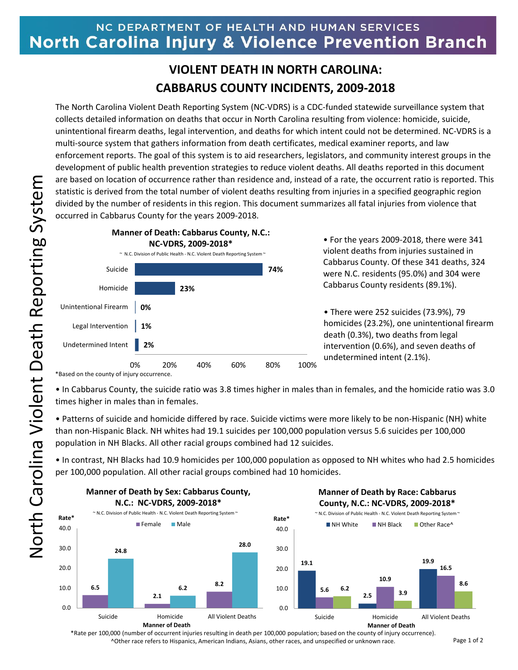## NC DEPARTMENT OF HEALTH AND HUMAN SERVICES North Carolina Injury & Violence Prevention Branch

## **VIOLENT DEATH IN NORTH CAROLINA: CABBARUS COUNTY INCIDENTS, 2009-2018**

The North Carolina Violent Death Reporting System (NC-VDRS) is a CDC-funded statewide surveillance system that collects detailed information on deaths that occur in North Carolina resulting from violence: homicide, suicide, unintentional firearm deaths, legal intervention, and deaths for which intent could not be determined. NC-VDRS is a multi-source system that gathers information from death certificates, medical examiner reports, and law enforcement reports. The goal of this system is to aid researchers, legislators, and community interest groups in the development of public health prevention strategies to reduce violent deaths. All deaths reported in this document are based on location of occurrence rather than residence and, instead of a rate, the occurrent ratio is reported. This statistic is derived from the total number of violent deaths resulting from injuries in a specified geographic region divided by the number of residents in this region. This document summarizes all fatal injuries from violence that occurred in Cabbarus County for the years 2009-2018.



• For the years 2009-2018, there were 341 violent deaths from injuries sustained in Cabbarus County. Of these 341 deaths, 324 were N.C. residents (95.0%) and 304 were Cabbarus County residents (89.1%).

• There were 252 suicides (73.9%), 79 homicides (23.2%), one unintentional firearm death (0.3%), two deaths from legal intervention (0.6%), and seven deaths of undetermined intent (2.1%).

\*Based on the county of injury occurrence.

• In Cabbarus County, the suicide ratio was 3.8 times higher in males than in females, and the homicide ratio was 3.0 times higher in males than in females.

• Patterns of suicide and homicide differed by race. Suicide victims were more likely to be non-Hispanic (NH) white than non-Hispanic Black. NH whites had 19.1 suicides per 100,000 population versus 5.6 suicides per 100,000 population in NH Blacks. All other racial groups combined had 12 suicides.

• In contrast, NH Blacks had 10.9 homicides per 100,000 population as opposed to NH whites who had 2.5 homicides per 100,000 population. All other racial groups combined had 10 homicides.



\*Rate per 100,000 (number of occurrent injuries resulting in death per 100,000 population; based on the county of injury occurrence). ^Other race refers to Hispanics, American Indians, Asians, other races, and unspecified or unknown race.